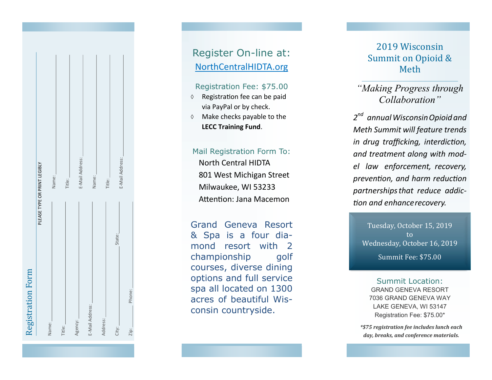| Registration Form            |                 |
|------------------------------|-----------------|
| PLEASE TYPE OR PRINT LEGIBLY |                 |
| Name:                        | Name:           |
| Title:                       | Title:          |
| Agency:                      | E-Mail Address: |
| E-Mail Address:              | Name:           |
| Address:                     | Title:          |
| State:<br>City:              | E-Mail Address: |
| Phone:<br>$\frac{1}{2}$      |                 |

# Register On -line at: NorthCentralHIDTA.org

## Registration Fee: \$75.00

- $\Diamond$  Registration fee can be paid via PayPal or by check.
- $\Diamond$  Make checks payable to the **LECC Training Fund** .

# Mail Registration Form To:

North Central HIDTA 801 West Michigan Street Milwaukee, WI 53233 Attention: Jana Macemon

Grand Geneva Resort & Spa is a four diamond resort with 2 championship qolf courses, diverse dining options and full service spa all located on 1300 acres of beautiful Wisconsin countryside.

# 2019 Wisconsin Summit on Opioid & Meth

# *"Making Progress through Collaboration "*

*2 nd annualWisconsinOpioidand Meth Summit will feature trends in drug trafficking, interdiction, and treatment along with model law enforcement, recovery, prevention, and harm reduction partnershipsthat reduce addiction and enhancerecovery.*

Tuesday, October 15, 2019 to Wednesday, October 16, 2019 Summit Fee: \$75.00

Summit Location: GRAND GENEVA RESORT 7036 GRAND GENEVA WAY LAKE GENEVA, WI 53147 Registration Fee: \$75.00\*

*\*\$75 registration fee includes lunch each day, breaks, and conference materials.*